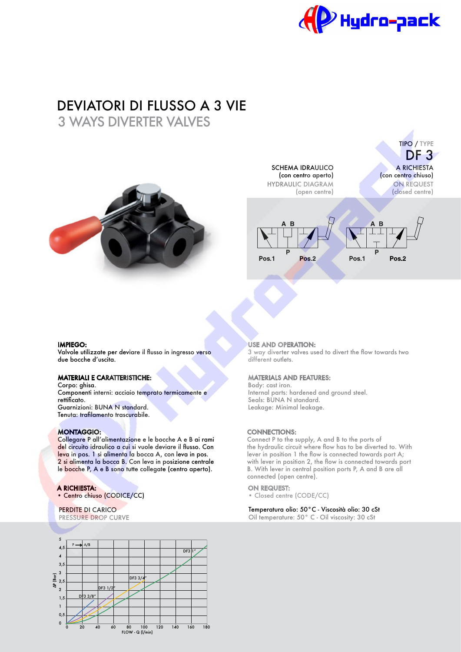

# DEVIATORI DI FLUSSO A 3 VIE

3 WAYS DIVERTER VALVES



SCHEMA IDRAULICO (con centro aperto) HYDRAULIC DIAGRAM (open centre)

A RICHIESTA (con centro chiuso) ON REQUEST (closed centre) TIPO / TYPE DF 3



#### IMPIEGO:

Valvole utilizzate per deviare il fusso in ingresso verso due bocche d'uscita.

# MATERIALI E CARATTERISTICHE:

Corpo: ghisa. Componenti interni: acciaio temprato termicamente e rettificato. Guarnizioni: BUNA N standard. Tenuta: traflamento trascurabile.

## MONTAGGIO:

Collegare P all'alimentazione e le bocche A e B ai rami del circuito idraulico a cui si vuole deviare il flusso. Con leva in pos. 1 si alimenta la bocca A, con leva in pos. 2 si alimenta la bocca B. Con leva in posizione centrale le bocche P, A e B sono tutte collegate (centro aperto).

# A RICHIESTA:

• Centro chiuso (CODICE/CC)

## PERDITE DI CARICO

PRESSURE DROP CURVE



#### USE AND OPERATION:

3 way diverter valves used to divert the fow towards two different outlets.

## MATERIALS AND FEATURES:

Body: cast iron. Internal parts: hardened and ground steel. Seals: BUNA N standard. Leakage: Minimal leakage.

## CONNECTIONS:

Connect P to the supply, A and B to the ports of the hydraulic circuit where fow has to be diverted to. With lever in position 1 the flow is connected towards port A: with lever in position 2, the flow is connected towards port B. With lever in central position ports P, A and B are all connected (open centre).

#### ON REQUEST:

• Closed centre (CODE/CC)

#### Temperatura olio: 50°C - Viscosità olio: 30 cSt

Oil temperature: 50° C - Oil viscosity: 30 cSt